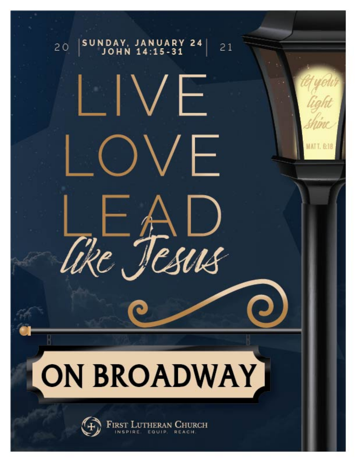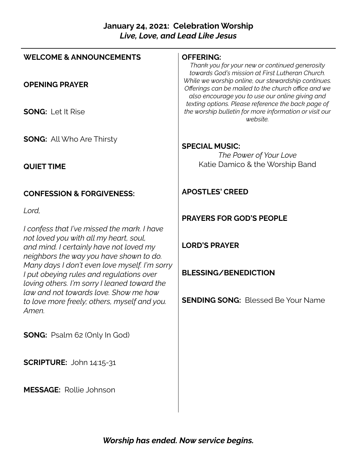### **January 24, 2021: Celebration Worship** *Live, Love, and Lead Like Jesus*

| <b>WELCOME &amp; ANNOUNCEMENTS</b>                                                                                                                                          | <b>OFFERING:</b><br>Thank you for your new or continued generosity<br>towards God's mission at First Lutheran Church.                                         |
|-----------------------------------------------------------------------------------------------------------------------------------------------------------------------------|---------------------------------------------------------------------------------------------------------------------------------------------------------------|
| <b>OPENING PRAYER</b>                                                                                                                                                       | While we worship online, our stewardship continues.<br>Offerings can be mailed to the church office and we<br>also encourage you to use our online giving and |
| <b>SONG: Let It Rise</b>                                                                                                                                                    | texting options. Please reference the back page of<br>the worship bulletin for more information or visit our<br>website.                                      |
| <b>SONG:</b> All Who Are Thirsty                                                                                                                                            | <b>SPECIAL MUSIC:</b>                                                                                                                                         |
| <b>QUIET TIME</b>                                                                                                                                                           | The Power of Your Love<br>Katie Damico & the Worship Band                                                                                                     |
| <b>CONFESSION &amp; FORGIVENESS:</b>                                                                                                                                        | <b>APOSTLES' CREED</b>                                                                                                                                        |
| Lord,                                                                                                                                                                       | <b>PRAYERS FOR GOD'S PEOPLE</b>                                                                                                                               |
| I confess that I've missed the mark. I have<br>not loved you with all my heart, soul,<br>and mind. I certainly have not loved my<br>neighbors the way you have shown to do. | <b>LORD'S PRAYER</b>                                                                                                                                          |
| Many days I don't even love myself. I'm sorry<br>I put obeying rules and regulations over<br>loving others. I'm sorry I leaned toward the                                   | <b>BLESSING/BENEDICTION</b>                                                                                                                                   |
| law and not towards love. Show me how<br>to love more freely; others, myself and you.<br>Amen.                                                                              | <b>SENDING SONG: Blessed Be Your Name</b>                                                                                                                     |
| <b>SONG:</b> Psalm 62 (Only In God)                                                                                                                                         |                                                                                                                                                               |
| SCRIPTURE: John 14:15-31                                                                                                                                                    |                                                                                                                                                               |
| <b>MESSAGE: Rollie Johnson</b>                                                                                                                                              |                                                                                                                                                               |

 $\overline{\phantom{a}}$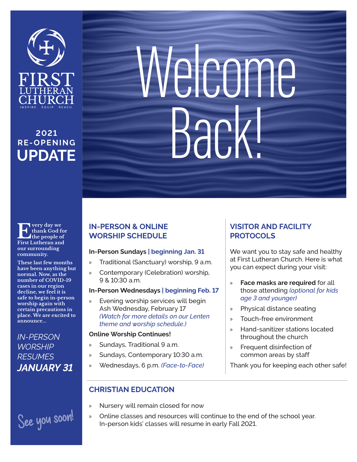

# **2021 RE- O PE N I N G UPDATE**

**Example 18 September 15 September 2014**<br> **Example 1** September 2014<br> **Example 2014 thank God for First Lutheran and our surrounding community.**

**These last few months have been anything but normal. Now, as the number of COVID-19 cases in our region decline, we feel it is safe to begin in-person worship again with certain precautions in place. We are excited to announce...**

*IN-PERSON WORSHIP RESUMES JANUARY 31*

# See you soon!

# Welcome Back!

## **IN-PERSON & ONLINE WORSHIP SCHEDULE**

#### **In-Person Sundays | beginning Jan. 31**

- » Traditional (Sanctuary) worship, 9 a.m.
- » Contemporary (Celebration) worship, 9 & 10:30 a.m.

#### **In-Person Wednesdays | beginning Feb. 17**

» Evening worship services will begin Ash Wednesday, February 17 *(Watch for more details on our Lenten theme and worship schedule.)*

#### **Online Worship Continues!**

- » Sundays, Traditional 9 a.m.
- » Sundays, Contemporary 10:30 a.m.
- » Wednesdays, 6 p.m. *(Face-to-Face)*

# **VISITOR AND FACILITY PROTOCOLS**

We want you to stay safe and healthy at First Lutheran Church. Here is what you can expect during your visit:

- » **Face masks are required** for all those attending *(optional for kids age 3 and younger)*
- » Physical distance seating
- » Touch-free environment
- » Hand-sanitizer stations located throughout the church
- » Frequent disinfection of common areas by staff

Thank you for keeping each other safe!

# **CHRISTIAN EDUCATION**

- » Nursery will remain closed for now
- » Online classes and resources will continue to the end of the school year. In-person kids' classes will resume in early Fall 2021.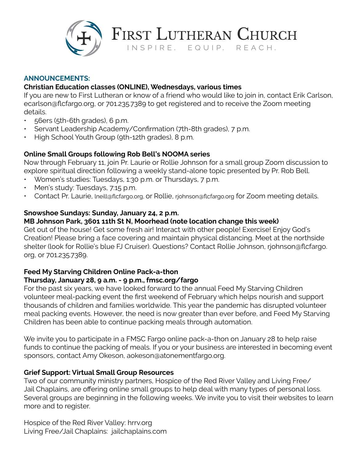

**ANNOUNCEMENTS:**

#### **Christian Education classes (ONLINE), Wednesdays, various times**

If you are new to First Lutheran or know of a friend who would like to join in, contact Erik Carlson, ecarlson@flcfargo.org, or 701.235.7389 to get registered and to receive the Zoom meeting details.

FIRST LUTHERAN CHURCH

INSPIRE. EQUIP. REACH.

- 56ers (5th-6th grades), 6 p.m.
- Servant Leadership Academy/Confirmation (7th-8th grades), 7 p.m.
- High School Youth Group (9th-12th grades), 8 p.m.

#### **Online Small Groups following Rob Bell's NOOMA series**

Now through February 11, join Pr. Laurie or Rollie Johnson for a small group Zoom discussion to explore spiritual direction following a weekly stand-alone topic presented by Pr. Rob Bell.

- Women's studies: Tuesdays, 1:30 p.m. or Thursdays, 7 p.m.
- Men's study: Tuesdays, 7:15 p.m.
- Contact Pr. Laurie, lneill@flcfargo.org, or Rollie, rjohnson@flcfargo.org for Zoom meeting details.

#### **Snowshoe Sundays: Sunday, January 24, 2 p.m.**

#### **MB Johnson Park, 3601 11th St N, Moorhead (note location change this week)**

Get out of the house! Get some fresh air! Interact with other people! Exercise! Enjoy God's Creation! Please bring a face covering and maintain physical distancing. Meet at the northside shelter (look for Rollie's blue FJ Cruiser). Questions? Contact Rollie Johnson, rjohnson@flcfargo. org, or 701.235.7389.

# **Feed My Starving Children Online Pack-a-thon**

#### **Thursday, January 28, 9 a.m. - 9 p.m., fmsc.org/fargo**

For the past six years, we have looked forward to the annual Feed My Starving Children volunteer meal-packing event the first weekend of February which helps nourish and support thousands of children and families worldwide. This year the pandemic has disrupted volunteer meal packing events. However, the need is now greater than ever before, and Feed My Starving Children has been able to continue packing meals through automation.

We invite you to participate in a FMSC Fargo online pack-a-thon on January 28 to help raise funds to continue the packing of meals. If you or your business are interested in becoming event sponsors, contact Amy Okeson, aokeson@atonementfargo.org.

#### **Grief Support: Virtual Small Group Resources**

Two of our community ministry partners, Hospice of the Red River Valley and Living Free/ Jail Chaplains, are offering online small groups to help deal with many types of personal loss. Several groups are beginning in the following weeks. We invite you to visit their websites to learn more and to register.

Hospice of the Red River Valley: hrrv.org Living Free/Jail Chaplains: jailchaplains.com